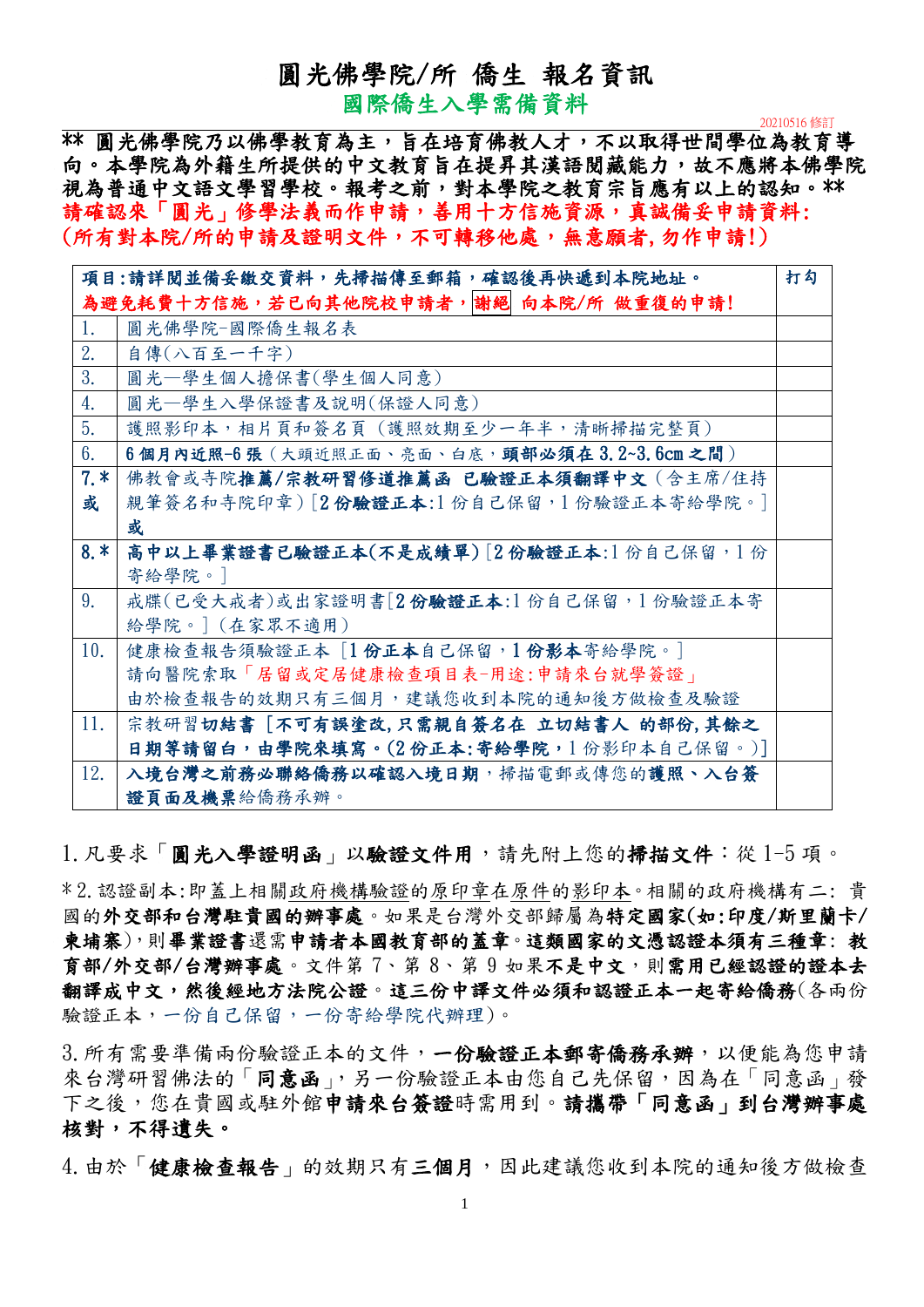### 圓光佛學院/所 僑生 報名資訊

國際僑生入學需備資料

<sup>20210516</sup> 修訂

\*\* 圓光佛學院乃以佛學教育為主,旨在培育佛教人才,不以取得世間學位為教育導 向。本學院為外籍生所提供的中文教育旨在提昇其漢語閱藏能力,故不應將本佛學院 視為普通中文語文學習學校。報考之前,對本學院之教育宗旨應有以上的認知。\*\* 請確認來「圓光」修學法義而作申請,善用十方信施資源,真誠備妥申請資料: (所有對本院/所的申請及證明文件,不可轉移他處,無意願者,勿作申請!)

|       | 項目:請詳閱並備妥繳交資料,先掃描傳至郵箱,確認後再快遞到本院地址。        | 打勾 |
|-------|-------------------------------------------|----|
|       | 為避免耗費十方信施,若已向其他院校申請者,謝絕 向本院/所 做重復的申請!     |    |
| 1.    | 圓光佛學院-國際僑生報名表                             |    |
| 2.    | 自傳(八百至一千字)                                |    |
| 3.    | 圓光–學生個人擔保書(學生個人同意)                        |    |
| 4.    | 圓光一學生入學保證書及說明(保證人同意)                      |    |
| 5.    | 護照影印本,相片頁和簽名頁 (護照效期至少一年半,清晰掃描完整頁)         |    |
| 6.    | 6個月內近照-6張 (大頭近照正面、亮面、白底,頭部必須在3.2~3.6cm之間) |    |
| $7.*$ | 佛教會或寺院推薦/宗教研習修道推薦函 已驗證正本須翻譯中文(含主席/住持      |    |
| 或     | 親筆簽名和寺院印章)[2份驗證正本:1份自己保留,1份驗證正本寄給學院。]     |    |
|       | 或                                         |    |
| $8.*$ | 高中以上畢業證書已驗證正本(不是成績單)「2份驗證正本:1份自己保留,1份     |    |
|       | 寄給學院。]                                    |    |
| 9.    | 戒牒(已受大戒者)或出家證明書[2份驗證正本:1份自己保留,1份驗證正本寄     |    |
|       | 給學院。] (在家眾不適用)                            |    |
| 10.   | 健康檢查報告須驗證正本 [1份正本自己保留,1份影本寄給學院。]          |    |
|       | 請向醫院索取「居留或定居健康檢查項目表-用途:申請來台就學簽證」          |    |
|       | 由於檢查報告的效期只有三個月,建議您收到本院的通知後方做檢查及驗證         |    |
| 11.   | 宗教研習切結書 [不可有誤塗改,只需親自簽名在 立切結書人 的部份,其餘之     |    |
|       | 日期等請留白,由學院來填寫。(2份正本:寄給學院,1份影印本自己保留。)]     |    |
| 12.   | 入境台灣之前務必聯絡僑務以確認入境日期,掃描電郵或傳您的護照、入台簽        |    |
|       | 證頁面及機票給僑務承辦。                              |    |

1. 凡要求「圓光入學證明函」以驗證文件用,請先附上您的掃描文件:從1-5 項。

\* 2.認證副本:即蓋上相關政府機構驗證的原印章在原件的影印本。相關的政府機構有二: 貴 國的外交部和台灣駐貴國的辦事處。如果是台灣外交部歸屬為特定國家(如:印度/斯里蘭卡/ 柬埔寨),則畢業證書還需申請者本國教育部的蓋章。這類國家的文憑認證本須有三種章: 教 育部/外交部/台灣辦事處。文件第 7、第 8、第 9 如果不是中文,則需用已經認證的證本去 翻譯成中文,然後經地方法院公證。這三份中譯文件必須和認證正本一起寄給僑務(各兩份 驗證正本,一份自己保留,一份寄給學院代辦理)。

3. 所有需要準備兩份驗證正本的文件,一份驗證正本郵寄僑務承辦,以便能為您申請 來台灣研習佛法的「同意函」,另一份驗證正本由您自己先保留,因為在「同意函」發 下之後,您在貴國或駐外館申請來台簽證時需用到。請攜帶「同意函」到台灣辦事處 核對,不得遺失。 ٠e

4. 由於「健康檢查報告」的效期只有三個月,因此建議您收到本院的通知後方做檢查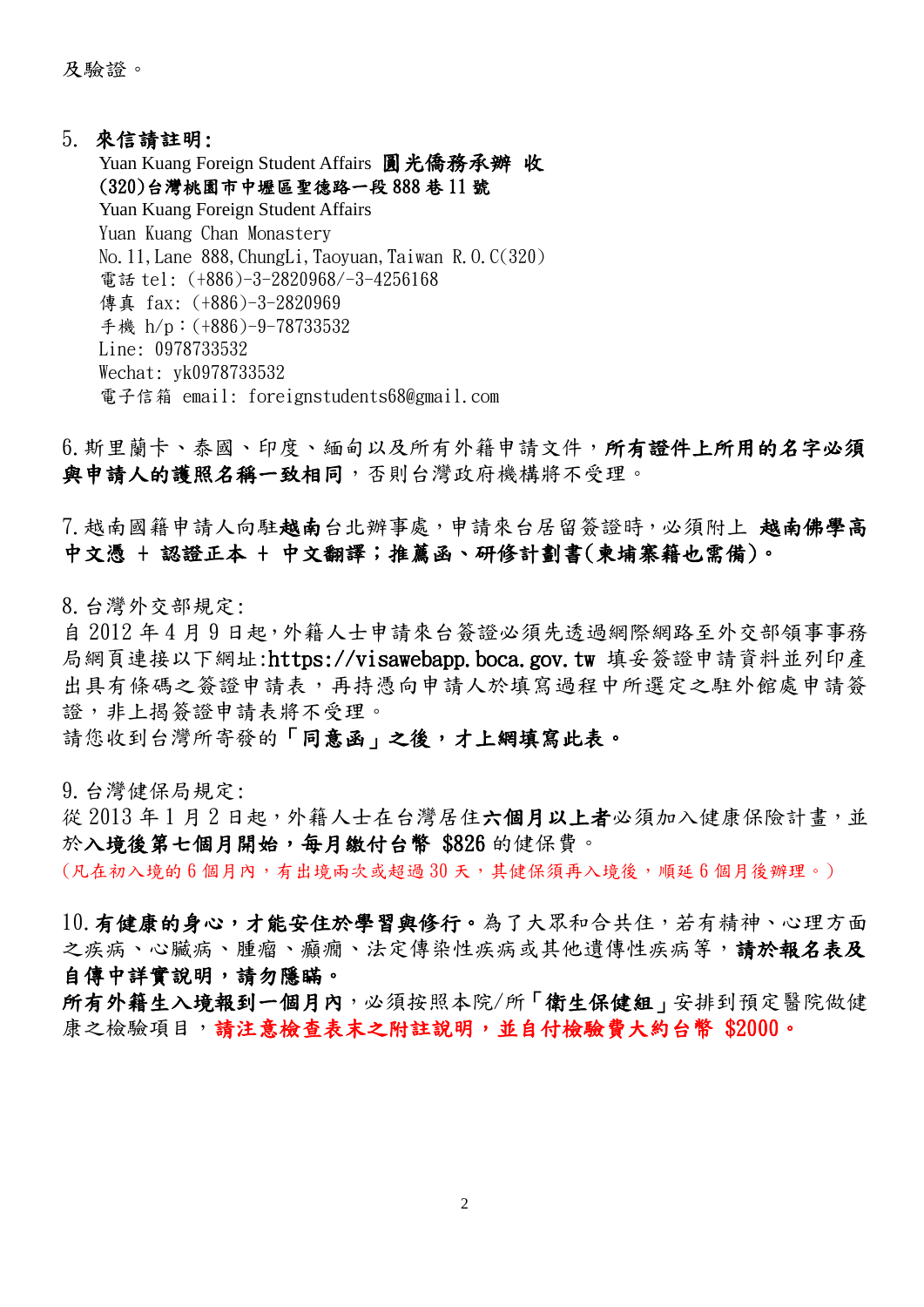及驗證。

### 5. 來信請註明:

Yuan Kuang Foreign Student Affairs 圓光僑務承辦 收 (320)台灣桃園市中壢區聖德路一段 888 巷 11 號 Yuan Kuang Foreign Student Affairs Yuan Kuang Chan Monastery No.11,Lane 888,ChungLi,Taoyuan,Taiwan R.O.C(320) 電話 tel: (+886)-3-2820968/-3-4256168 傳真 fax: (+886)-3-2820969 手機 h/p︰(+886)-9-78733532 Line: 0978733532 Wechat: yk0978733532 電子信箱 email: foreignstudents68@gmail.com

6. 斯里蘭卡、泰國、印度、緬甸以及所有外籍申請文件,所有證件上所用的名字必須 與申請人的護照名稱一致相同,否則台灣政府機構將不受理。

7. 越南國籍申請人向駐越南台北辦事處,申請來台居留簽證時,必須附上 越南佛學高 中文憑 + 認證正本 + 中文翻譯;推薦函、研修計劃書(柬埔寨籍也需備)。

8.台灣外交部規定:

自 2012 年 4 月 9 日起,外籍人士申請來台簽證必須先透過網際網路至外交部領事事務 局網頁連接以下網址:https://visawebapp.boca.gov.tw 填妥簽證申請資料並列印產 出具有條碼之簽證申請表,再持憑向申請人於填寫過程中所選定之駐外館處申請簽 證,非上揭簽證申請表將不受理。

請您收到台灣所寄發的「同意函」之後,才上網填寫此表。

9.台灣健保局規定:

從 2013年1月2日起,外籍人士在台灣居住六個月以上者必須加入健康保險計畫,並 於入境後第七個月開始,每月繳付台幣 \$826 的健保費。

(凡在初入境的6個月內,有出境兩次或超過30天,其健保須再入境後,順延6個月後辦理。)

10. 有健康的身心,才能安住於學習與修行。為了大眾和合共住,若有精神、心理方面 之疾病、心臟病、腫瘤、癲癇、法定傳染性疾病或其他遺傳性疾病等,請於報名表及 自傳中詳實說明,請勿隱瞞。

所有外籍生入境報到一個月內,必須按照本院/所「衛生保健組」安排到預定醫院做健 康之檢驗項目,請注意檢查表末之附註說明,並自付檢驗費大約台幣 \$2000。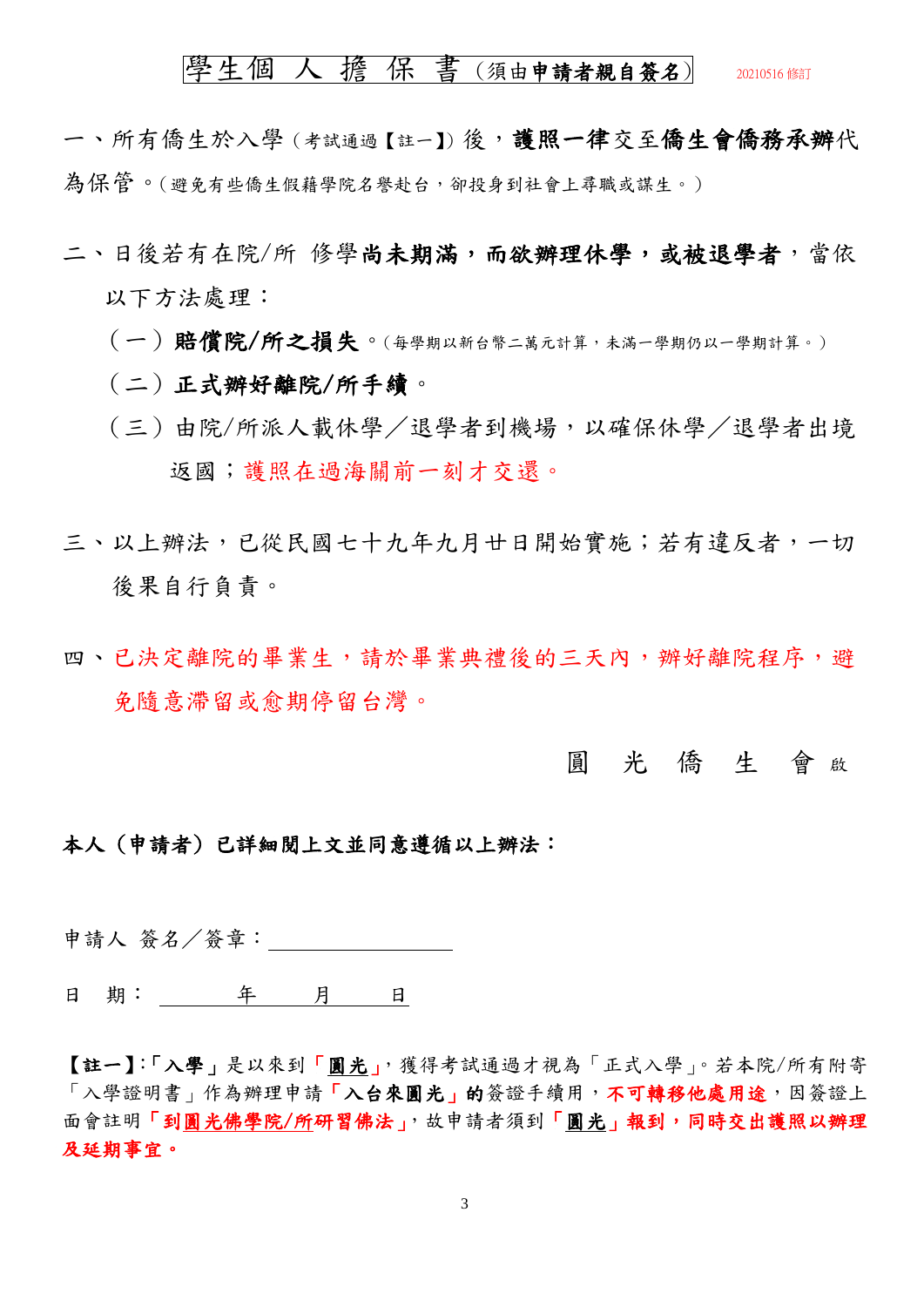### 學生個人擔保書(須由申請者親自簽名) 20210516 修訂

一、所有僑生於入學 (考試通過【註一】) 後, 護照一律交至僑生會僑務承辦代 為保管。(避免有些僑生假藉學院名譽赴台,卻投身到社會上尋職或謀生。)

- 二、日後若有在院/所 修學尚未期滿,而欲辦理休學,或被退學者,當依 以下方法處理:
	- (一)賠償院/所之損失。(每學期以新台幣二萬元計算,未滿一學期仍以一學期計算。)
	- (二)正式辦好離院/所手續。
	- (三)由院/所派人載休學/退學者到機場,以確保休學/退學者出境 返國;護照在過海關前一刻才交還。
- 三、以上辦法,已從民國七十九年九月廿日開始實施;若有違反者,一切 後果自行自責。
- 四、已決定離院的畢業生,請於畢業典禮後的三天內,辦好離院程序,避 免隨意滯留或愈期停留台灣。

### 圓 光 僑 生 會 <sup>啟</sup>

### 本人 (申請者) 已詳細閱上文並同意遵循以上辦法:

申請人 簽名/簽章:

日 期: 年 月 日

【註一】:「入學」是以來到「圓光」,獲得考試通過才視為「正式入學」。若本院/所有附寄 「入學證明書」作為辦理申請「入台來圓光」的簽證手續用,不可轉移他處用途,因簽證上 面會註明「到圓光佛學院/所研習佛法」,故申請者須到「圓光」報到,同時交出護照以辦理 及延期事宜。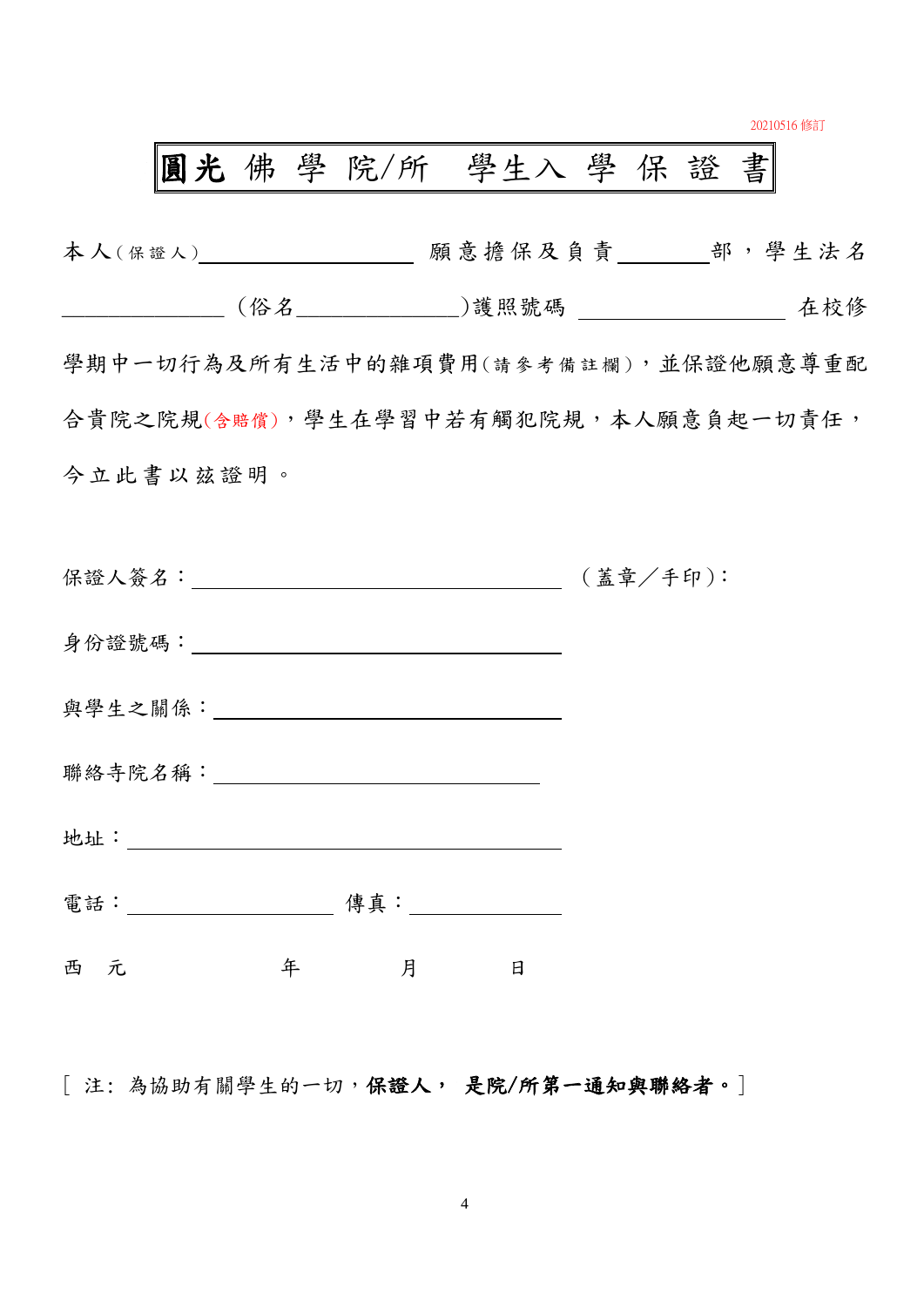20210516 修訂

# 圓光 佛 學 院/所 學生入 學 保 證 書

| 本人(保證人)____________________ 願意擔保及負責_______部,學生法名                                                                                                                                                                               |        |  |
|--------------------------------------------------------------------------------------------------------------------------------------------------------------------------------------------------------------------------------|--------|--|
|                                                                                                                                                                                                                                |        |  |
| 學期中一切行為及所有生活中的雜項費用(請參考備註欄),並保證他願意尊重配                                                                                                                                                                                           |        |  |
| 合貴院之院規(含賠償),學生在學習中若有觸犯院規,本人願意負起一切責任,                                                                                                                                                                                           |        |  |
| 今立此書以兹證明。                                                                                                                                                                                                                      |        |  |
|                                                                                                                                                                                                                                |        |  |
|                                                                                                                                                                                                                                |        |  |
|                                                                                                                                                                                                                                |        |  |
| 與學生之關係: ___________________________________                                                                                                                                                                                    |        |  |
| 聯絡寺院名稱: 2000年 2000年 2000年 2000年 2000年 2000年 2000年 2000年 2000年 2000年 2000年 2000年 2000年 2000年 2000年 2000年 2000年 2000年 2000年 2000年 2000年 2000年 2000年 2000年 2000年 2000年 2000年 2000年 2000年 2000年 2000年 2000年 2000年 2000年 2000年 2000 |        |  |
|                                                                                                                                                                                                                                |        |  |
|                                                                                                                                                                                                                                |        |  |
| 年<br>西 元                                                                                                                                                                                                                       | 月<br>日 |  |

[ 注: 為協助有關學生的一切,保證人, 是院/所第一通知與聯絡者。]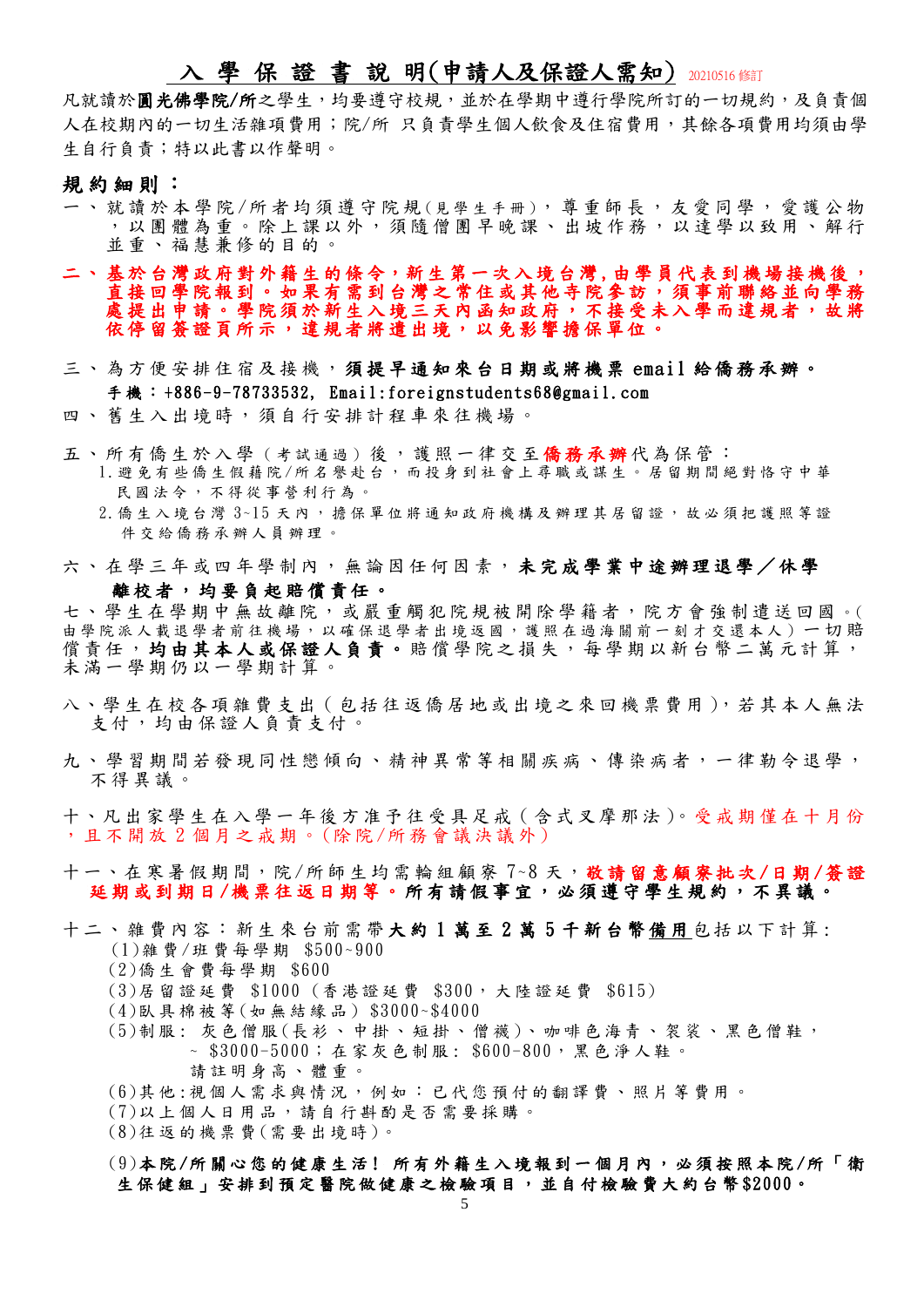## 入 學 保 證 書 說 明(申請人及保證人需知) 20210516 修訂

凡就讀於圓光佛學院/所之學生,均要遵守校規,並於在學期中遵行學院所訂的一切規約,及負責個 人在校期內的一切生活雜項費用;院/所 只負責學生個人飲食及住宿費用,其餘各項費用均須由學 生自行負責;特以此書以作聲明。

#### 規約細則:

- 、 就 讀 於 本 學 院 / 所 者 均 須 遵 守 院 規 ( 見 學 生 手 冊 ) , 尊 重 師 長 , 友 愛 同 學 , 愛 護 公 物 ,以團體為重。除上課以外,須隨僧團早晚課、出坡作務,以達學以致用、解行 並重 、 福慧 兼 修的 目的 。
- 二、基於台灣政府對外籍生的條令,新生第一次入境台灣,由學員代表到機場接機後, 直接回學院報到。如果有需到台灣之常住或其他寺院參訪,須事前聯絡並向學務 處提出申請。學院須於新生入境三天內函知政府,不接受未入學而違規者,故將 依停留簽證頁所示,違規者將遣出境,以免影響擔保單位。
- 三、 為方 便 安排 住 宿及 接機 , 須提早通知來台日期或將機票 email 給僑 務 承 辦 。 手機: +886-9-78733532, Email:foreignstudents68@gmail.com
- 四、舊生入出境時,須自行安排計程車來往機場。
- 五、所有僑生於入學(考試通過)後,護照一律交至僑務承辦代為保管:
	- 1 .避免有些僑生假藉院 /所 名譽赴台,而投身到社會上尋職或謀生。居留期間絕對恪守中華 民國法今,不得從事營利行為。
	- 2. 僑生入境台灣 3~15天內,擔保單位將通知政府機構及辦理其居留證,故必須把護照等證 件交給僑務承辦人員辦理。
- 六、在學三年或四年學制內,無論因任何因素,未完成學業中途辦理退學/休學

#### 離校者,均要負起賠償責任。

七、學生在學期中無故離院,或嚴重觸犯院規被開除學籍者,院方會強制遣送回國。( 由學院派人載退學者前往機場,以確保退學者出境返國,護照在過海關前一刻才交還本人)一切賠 償責任,均由其本人或保證人負責。賠償學院之損失,每學期以新台幣二萬元計算, 未滿一學期仍以一學期計算。

- 八、學生在校各項雜費支出(包括往返僑居地或出境之來回機票費用),若其本人無法 支付,均由保證人負責支付。
- 九、學習期間若發現同性戀傾向、精神異常等相關疾病、傳染病者,一律勒令退學, 不得 異 議。

十、凡 出家 學 生在 入學 一 年後 方 准予 往 受 具 足戒( 含式 叉摩 那 法)。受 戒 期 僅在 十 月份 ,且 不 開 放 2 個月 之戒 期 。 (除院 /所 務會 議 決議 外)

- 十一、在寒暑假期間,院/所師生均需輪組顧察7~8天,敬請留意顧寮批次/日期/簽證 延期或到期日/機票往返日期等。所有請假事宜,必須遵守學生規約,不異議。
- 十二、雜費內容:新生來台前需帶大約1萬至2萬5千新台幣備用包括以下計算: (1)雜 費 /班 費 每 學 期 \$500~900
	- (2)僑 生 會 費 每 學 期 \$600
	- (3)居留證延費 \$1000 (香港證延費 \$300,大陸證延費 \$615)
	- (4)臥 具 棉被等 (如 無 結 緣 品 ) \$3000~\$4000
	- (5)制服: 灰色僧服 (長衫、中掛、短掛、僧襪)、咖啡色海青、袈裟、黑色僧鞋, ~ \$3000-5000; 在 家 灰 色 制 服 : \$600-800, 黑 色 淨 人 鞋 。 請 註 明 身 高 、 體 重 。
	- (6)其 他 :視 個 人 需 求 與 情 況 , 例 如 : 已 代 您 預 付 的 翻 譯 費 、 照 片 等 費 用 。
	- (7)以 上 個 人 日 用 品 , 請 自 行 斟 酌 是 否 需 要 採 購 。
	- (8)往 返 的 機 票 費 (需 要 出 境 時 )。

### (9)本 院 /所 關 心 您 的 健 康 生 活 ! 所 有 外 籍 生 入 境 報 到 一 個 月 內 , 必 須 按 照 本 院 /所 「 衛 生 保 健 組 」 安 排 到 預 定 醫 院 做 健 康 之 檢 驗 項 目 , 並 自 付 檢 驗 費 大 約 台 幣 \$2000。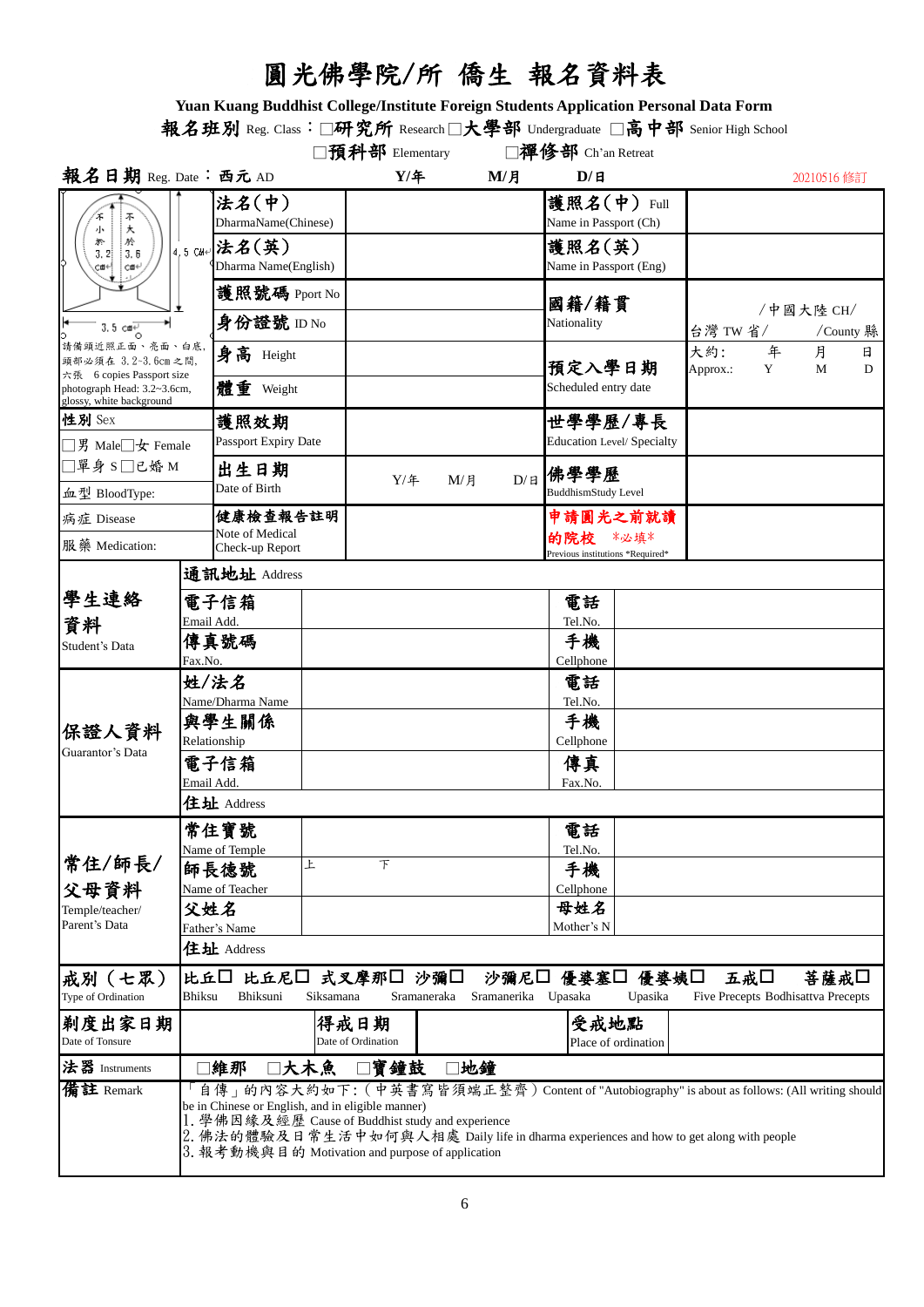# 圓光佛學院/所 僑生 報名資料表

**Yuan Kuang Buddhist College/Institute Foreign Students Application Personal Data Form**

報名班別 Reg. Class:□研究所 Research□大學部 Undergraduate □高中部 Senior High School

|                                                                                                                |                                                                                                                                                                                            |                                                                                                                                                                                                                                                                                                                                                    |                             | □預科部 Elementary      |  |                                                   | □禪修部 Ch'an Retreat                                                  |      |                 |        |                        |        |
|----------------------------------------------------------------------------------------------------------------|--------------------------------------------------------------------------------------------------------------------------------------------------------------------------------------------|----------------------------------------------------------------------------------------------------------------------------------------------------------------------------------------------------------------------------------------------------------------------------------------------------------------------------------------------------|-----------------------------|----------------------|--|---------------------------------------------------|---------------------------------------------------------------------|------|-----------------|--------|------------------------|--------|
| 報名日期 Reg. Date: 西元 AD                                                                                          |                                                                                                                                                                                            |                                                                                                                                                                                                                                                                                                                                                    |                             | $Y/$ 年               |  | M/H                                               | D/H                                                                 |      |                 |        | 20210516 修訂            |        |
| 不大<br>小<br>婚<br>於<br>3, 2!<br>3.6<br>cod←¦<br>CΦ+                                                              | 4,5 CM+                                                                                                                                                                                    | 法名(中)<br>DharmaName(Chinese)<br>法名(英)<br>Dharma Name(English)                                                                                                                                                                                                                                                                                      |                             |                      |  |                                                   | 護照名(中)<br>Name in Passport (Ch)<br>護照名(英)<br>Name in Passport (Eng) | Full |                 |        |                        |        |
| $3.5$ call<br>請備頭近照正面、亮面、白底<br>頭部必須在 3.2~3.6cm 之間,<br>六張 6 copies Passport size<br>photograph Head: 3.2~3.6cm, |                                                                                                                                                                                            | 護照號碼 Pport No<br>身份證號 ID No                                                                                                                                                                                                                                                                                                                        |                             |                      |  |                                                   | 國籍/籍貫<br>Nationality<br>預定入學日期<br>Scheduled entry date              |      | 台灣 TW 省/        |        | /中國大陸 CH/<br>/County 縣 |        |
|                                                                                                                |                                                                                                                                                                                            | 身高 Height<br>體重 Weight                                                                                                                                                                                                                                                                                                                             |                             |                      |  |                                                   |                                                                     |      | 大約:<br>Approx.: | 年<br>Y | 月<br>M                 | 日<br>D |
| glossy, white background<br>性別 Sex                                                                             |                                                                                                                                                                                            | 護照效期                                                                                                                                                                                                                                                                                                                                               |                             |                      |  |                                                   | 世學學歷/專長                                                             |      |                 |        |                        |        |
| □男 Male□女 Female                                                                                               |                                                                                                                                                                                            | Passport Expiry Date                                                                                                                                                                                                                                                                                                                               |                             |                      |  | Education Level/ Specialty                        |                                                                     |      |                 |        |                        |        |
| □單身 S□已婚 M<br>血型 BloodType:                                                                                    |                                                                                                                                                                                            | 出生日期<br>Date of Birth                                                                                                                                                                                                                                                                                                                              |                             | D/H<br>$Y/$ 年<br>M/H |  | 佛學學歷<br><b>BuddhismStudy Level</b>                |                                                                     |      |                 |        |                        |        |
| 病症 Disease                                                                                                     |                                                                                                                                                                                            | 健康檢查報告註明                                                                                                                                                                                                                                                                                                                                           |                             |                      |  |                                                   | 申請圓光之前就讀                                                            |      |                 |        |                        |        |
| 服藥 Medication:                                                                                                 |                                                                                                                                                                                            | Note of Medical<br>Check-up Report                                                                                                                                                                                                                                                                                                                 |                             |                      |  |                                                   | 的院校<br>*必埴*<br>Previous institutions *Required*                     |      |                 |        |                        |        |
|                                                                                                                |                                                                                                                                                                                            | 通訊地址 Address                                                                                                                                                                                                                                                                                                                                       |                             |                      |  |                                                   |                                                                     |      |                 |        |                        |        |
| 學生連絡<br>資料                                                                                                     | Email Add.                                                                                                                                                                                 | 電子信箱                                                                                                                                                                                                                                                                                                                                               |                             |                      |  |                                                   | 電話<br>Tel.No.                                                       |      |                 |        |                        |        |
| Student's Data                                                                                                 | Fax.No.                                                                                                                                                                                    | 傳真號碼                                                                                                                                                                                                                                                                                                                                               |                             |                      |  |                                                   | 手機<br>Cellphone                                                     |      |                 |        |                        |        |
| 保證人資料<br>Guarantor's Data                                                                                      |                                                                                                                                                                                            | 姓/法名<br>Name/Dharma Name<br>與學生關係<br>Relationship<br>電子信箱<br>Email Add.<br>住址 Address                                                                                                                                                                                                                                                              |                             |                      |  | 電話<br>Tel.No.<br>手機<br>Cellphone<br>傳真<br>Fax.No. |                                                                     |      |                 |        |                        |        |
| 常住/師長/                                                                                                         |                                                                                                                                                                                            | 常住寶號<br>Name of Temple<br>師長德號                                                                                                                                                                                                                                                                                                                     | Ł                           | 下                    |  |                                                   | 電話<br>Tel.No.<br>手機                                                 |      |                 |        |                        |        |
| 父母資料<br>Temple/teacher/<br>Parent's Data                                                                       | 父姓名                                                                                                                                                                                        | Name of Teacher<br>Father's Name<br>住址 Address                                                                                                                                                                                                                                                                                                     |                             |                      |  |                                                   | Cellphone<br>母姓名<br>Mother's N                                      |      |                 |        |                        |        |
| 戒別(七眾)<br>Type of Ordination                                                                                   | 比丘囗<br>比丘尼口 式叉摩那口 沙彌口<br>五戒口<br>沙彌尼口 優婆塞口<br>菩薩戒□<br>優婆姨□<br><b>Bhiksu</b><br>Bhiksuni<br>Sramanerika Upasaka<br>Siksamana<br>Sramaneraka<br>Upasika<br>Five Precepts Bodhisattva Precepts |                                                                                                                                                                                                                                                                                                                                                    |                             |                      |  |                                                   |                                                                     |      |                 |        |                        |        |
| 剃度出家日期<br>Date of Tonsure                                                                                      | 得戒日期<br>Date of Ordination                                                                                                                                                                 |                                                                                                                                                                                                                                                                                                                                                    | 受戒地點<br>Place of ordination |                      |  |                                                   |                                                                     |      |                 |        |                        |        |
| 法器 Instruments                                                                                                 | □大木魚<br>寶鐘鼓<br>地鐘<br> 維那                                                                                                                                                                   |                                                                                                                                                                                                                                                                                                                                                    |                             |                      |  |                                                   |                                                                     |      |                 |        |                        |        |
| 備註 Remark                                                                                                      |                                                                                                                                                                                            | 自傳」的內容大約如下:(中英書寫皆須端正整齊)Content of "Autobiography" is about as follows: (All writing should<br>be in Chinese or English, and in eligible manner)<br>1. 學佛因緣及經歷 Cause of Buddhist study and experience<br>2. 佛法的體驗及日常生活中如何與人相處 Daily life in dharma experiences and how to get along with people<br>3. 報考動機與目的 Motivation and purpose of application |                             |                      |  |                                                   |                                                                     |      |                 |        |                        |        |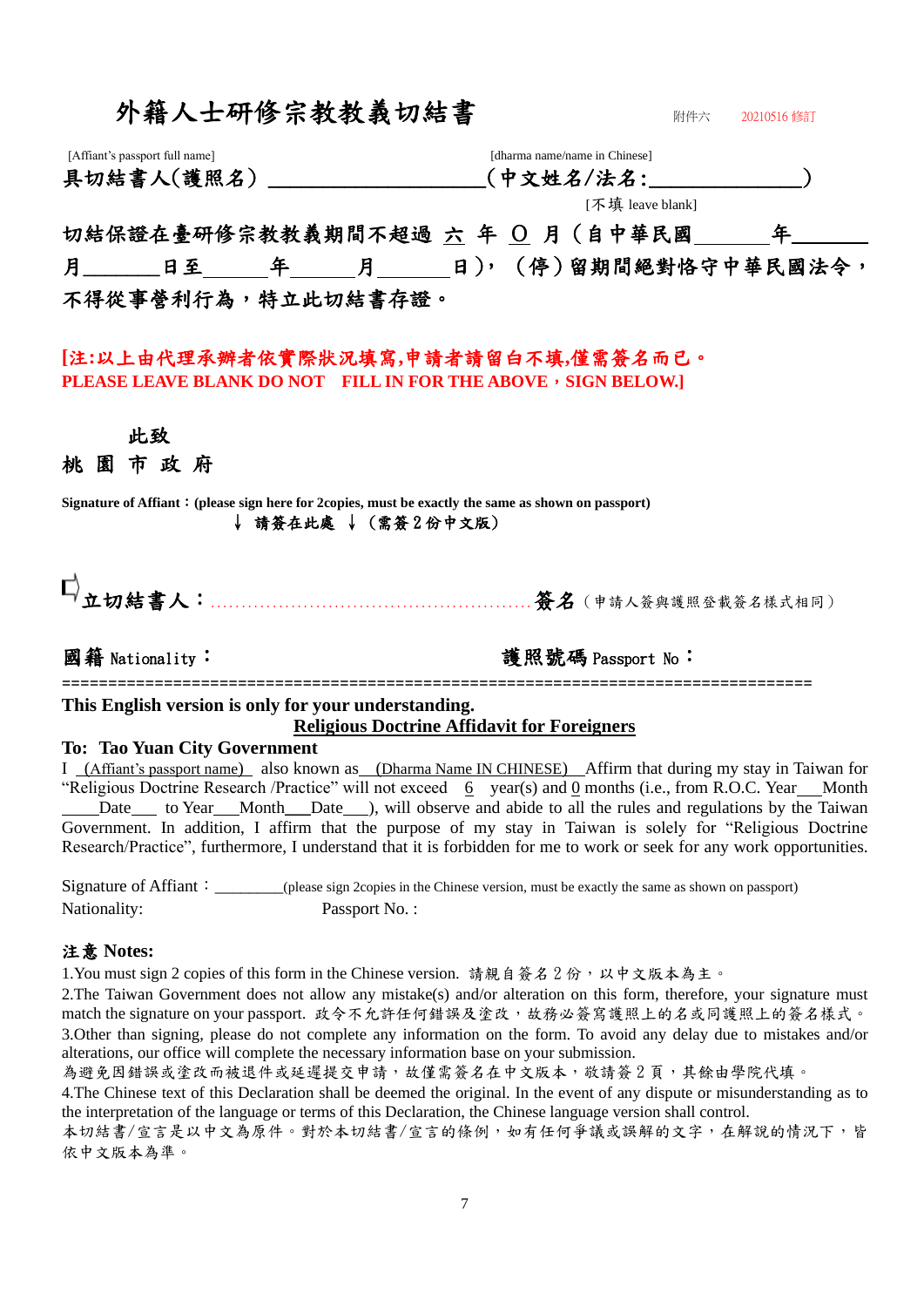| 外籍人士研修宗教教義切結書                                                                                                             | 附件六<br>20210516 修訂                                                                                                                                                                                                                                                                                                                                                                                                                                                                                                                                                         |
|---------------------------------------------------------------------------------------------------------------------------|----------------------------------------------------------------------------------------------------------------------------------------------------------------------------------------------------------------------------------------------------------------------------------------------------------------------------------------------------------------------------------------------------------------------------------------------------------------------------------------------------------------------------------------------------------------------------|
| [Affiant's passport full name]                                                                                            | [dharma name/name in Chinese]<br>具切結書人(護照名)_________________(中文姓名/法名:___________                                                                                                                                                                                                                                                                                                                                                                                                                                                                                           |
|                                                                                                                           | [不填 leave blank]                                                                                                                                                                                                                                                                                                                                                                                                                                                                                                                                                           |
|                                                                                                                           | 切結保證在臺研修宗教教義期間不超過 六 年 〇 月(自中華民國___年_                                                                                                                                                                                                                                                                                                                                                                                                                                                                                                                                       |
|                                                                                                                           |                                                                                                                                                                                                                                                                                                                                                                                                                                                                                                                                                                            |
| 不得從事營利行為,特立此切結書存證。                                                                                                        |                                                                                                                                                                                                                                                                                                                                                                                                                                                                                                                                                                            |
| [注:以上由代理承辦者依實際狀況填寫,申請者請留白不填,僅需簽名而已。<br>PLEASE LEAVE BLANK DO NOT FILL IN FOR THE ABOVE , SIGN BELOW.]                     |                                                                                                                                                                                                                                                                                                                                                                                                                                                                                                                                                                            |
| 此致                                                                                                                        |                                                                                                                                                                                                                                                                                                                                                                                                                                                                                                                                                                            |
| 桃園市政府                                                                                                                     |                                                                                                                                                                                                                                                                                                                                                                                                                                                                                                                                                                            |
| Signature of Affiant: (please sign here for 2copies, must be exactly the same as shown on passport)<br>↓ 請簽在此處 ↓(需簽2份中文版) |                                                                                                                                                                                                                                                                                                                                                                                                                                                                                                                                                                            |
| 國籍 Nationality:                                                                                                           | 護照號碼 Passport No:                                                                                                                                                                                                                                                                                                                                                                                                                                                                                                                                                          |
| This English version is only for your understanding.                                                                      | <b>Religious Doctrine Affidavit for Foreigners</b>                                                                                                                                                                                                                                                                                                                                                                                                                                                                                                                         |
| <b>To: Tao Yuan City Government</b>                                                                                       | I (Affiant's passport name) also known as (Dharma Name IN CHINESE) Affirm that during my stay in Taiwan for<br>"Religious Doctrine Research /Practice" will not exceed $6$ year(s) and $0$ months (i.e., from R.O.C. Year Month<br>Date to Year Month Date ), will observe and abide to all the rules and regulations by the Taiwan<br>Government. In addition, I affirm that the purpose of my stay in Taiwan is solely for "Religious Doctrine"<br>Research/Practice", furthermore, I understand that it is forbidden for me to work or seek for any work opportunities. |
| Nationality:<br>Passport No.:                                                                                             | Signature of Affiant: (please sign 2copies in the Chinese version, must be exactly the same as shown on passport)                                                                                                                                                                                                                                                                                                                                                                                                                                                          |
| 注意 Notes:                                                                                                                 |                                                                                                                                                                                                                                                                                                                                                                                                                                                                                                                                                                            |
| 1. You must sign 2 copies of this form in the Chinese version. 請親自簽名2份,以中文版本為主。                                           | 2. The Taiwan Government does not allow any mistake(s) and/or alteration on this form, therefore, your signature must<br>match the signature on your passport. 政令不允許任何錯誤及塗改, 故務必簽寫護照上的名或同護照上的簽名樣式。                                                                                                                                                                                                                                                                                                                                                                         |

3.Other than signing, please do not complete any information on the form. To avoid any delay due to mistakes and/or alterations, our office will complete the necessary information base on your submission.

為避免因錯誤或塗改而被退件或延遲提交申請,故僅需簽名在中文版本,敬請簽2頁,其餘由學院代填。

4.The Chinese text of this Declaration shall be deemed the original. In the event of any dispute or misunderstanding as to the interpretation of the language or terms of this Declaration, the Chinese language version shall control.

本切結書/宣言是以中文為原件。對於本切結書/宣言的條例,如有任何爭議或誤解的文字,在解說的情況下,皆 依中文版本為準。